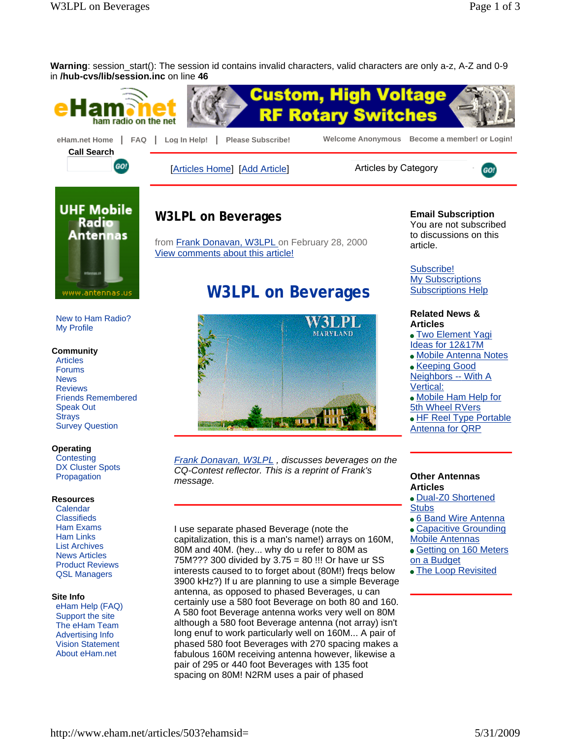$[60]$ 

**Warning**: session\_start(): The session id contains invalid characters, valid characters are only a-z, A-Z and 0-9 in **/hub-cvs/lib/session.inc** on line **46**





[Articles Home] [Add Article] Articles by Category



New to Ham Radio? My Profile

### **Community**

Articles Forums News Reviews Friends Remembered Speak Out **Strays** Survey Question

### **Operating**

**Contesting** DX Cluster Spots Propagation

#### **Resources**

Calendar **Classifieds** Ham Exams Ham Links List Archives News Articles Product Reviews QSL Managers

#### **Site Info**

eHam Help (FAQ) Support the site The eHam Team Advertising Info Vision Statement About eHam.net

# **W3LPL on Beverages**

from Frank Donavan, W3LPL on February 28, 2000 View comments about this article!

# **W3LPL on Beverages**



*Frank Donavan, W3LPL , discusses beverages on the CQ-Contest reflector. This is a reprint of Frank's message.* 

I use separate phased Beverage (note the capitalization, this is a man's name!) arrays on 160M, 80M and 40M. (hey... why do u refer to 80M as 75M??? 300 divided by 3.75 = 80 !!! Or have ur SS interests caused to to forget about (80M!) freqs below 3900 kHz?) If u are planning to use a simple Beverage antenna, as opposed to phased Beverages, u can certainly use a 580 foot Beverage on both 80 and 160. A 580 foot Beverage antenna works very well on 80M although a 580 foot Beverage antenna (not array) isn't long enuf to work particularly well on 160M... A pair of phased 580 foot Beverages with 270 spacing makes a fabulous 160M receiving antenna however, likewise a pair of 295 or 440 foot Beverages with 135 foot spacing on 80M! N2RM uses a pair of phased

## **Email Subscription**

You are not subscribed to discussions on this article.

Subscribe! My Subscriptions Subscriptions Help

### **Related News & Articles**

- Two Element Yagi Ideas for 12&17M
- Mobile Antenna Notes • Keeping Good

Neighbors -- With A Vertical:

Mobile Ham Help for 5th Wheel RVers

HF Reel Type Portable

Antenna for QRP

### **Other Antennas Articles**

- Dual-Z0 Shortened **Stubs**
- 6 Band Wire Antenna
- Capacitive Grounding
- Mobile Antennas
- Getting on 160 Meters on a Budget
- The Loop Revisited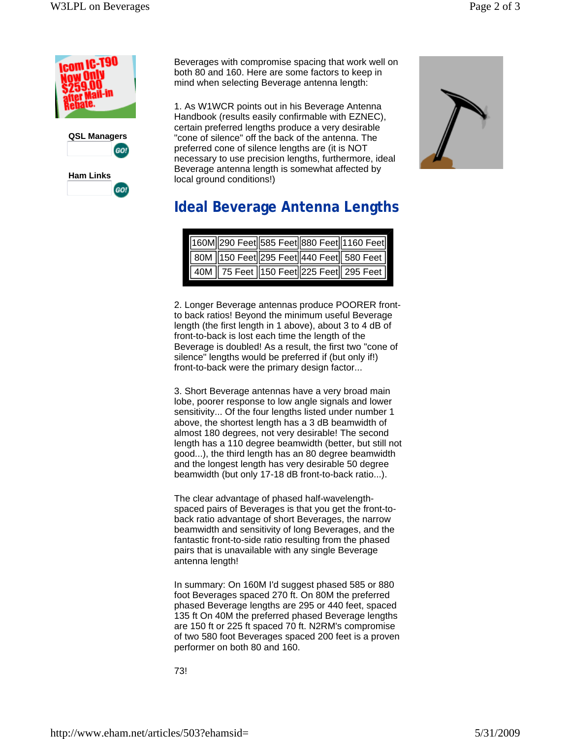



GO!

Beverages with compromise spacing that work well on both 80 and 160. Here are some factors to keep in mind when selecting Beverage antenna length:

1. As W1WCR points out in his Beverage Antenna Handbook (results easily confirmable with EZNEC), certain preferred lengths produce a very desirable "cone of silence" off the back of the antenna. The preferred cone of silence lengths are (it is NOT necessary to use precision lengths, furthermore, ideal Beverage antenna length is somewhat affected by local ground conditions!)



# **Ideal Beverage Antenna Lengths**

|  |  | 160M 290 Feet 585 Feet 880 Feet 1160 Feet |
|--|--|-------------------------------------------|
|  |  | 80M 150 Feet 295 Feet 440 Feet 580 Feet   |
|  |  | 40M 75 Feet 150 Feet 225 Feet 295 Feet    |

2. Longer Beverage antennas produce POORER frontto back ratios! Beyond the minimum useful Beverage length (the first length in 1 above), about 3 to 4 dB of front-to-back is lost each time the length of the Beverage is doubled! As a result, the first two "cone of silence" lengths would be preferred if (but only if!) front-to-back were the primary design factor...

3. Short Beverage antennas have a very broad main lobe, poorer response to low angle signals and lower sensitivity... Of the four lengths listed under number 1 above, the shortest length has a 3 dB beamwidth of almost 180 degrees, not very desirable! The second length has a 110 degree beamwidth (better, but still not good...), the third length has an 80 degree beamwidth and the longest length has very desirable 50 degree beamwidth (but only 17-18 dB front-to-back ratio...).

The clear advantage of phased half-wavelengthspaced pairs of Beverages is that you get the front-toback ratio advantage of short Beverages, the narrow beamwidth and sensitivity of long Beverages, and the fantastic front-to-side ratio resulting from the phased pairs that is unavailable with any single Beverage antenna length!

In summary: On 160M I'd suggest phased 585 or 880 foot Beverages spaced 270 ft. On 80M the preferred phased Beverage lengths are 295 or 440 feet, spaced 135 ft On 40M the preferred phased Beverage lengths are 150 ft or 225 ft spaced 70 ft. N2RM's compromise of two 580 foot Beverages spaced 200 feet is a proven performer on both 80 and 160.